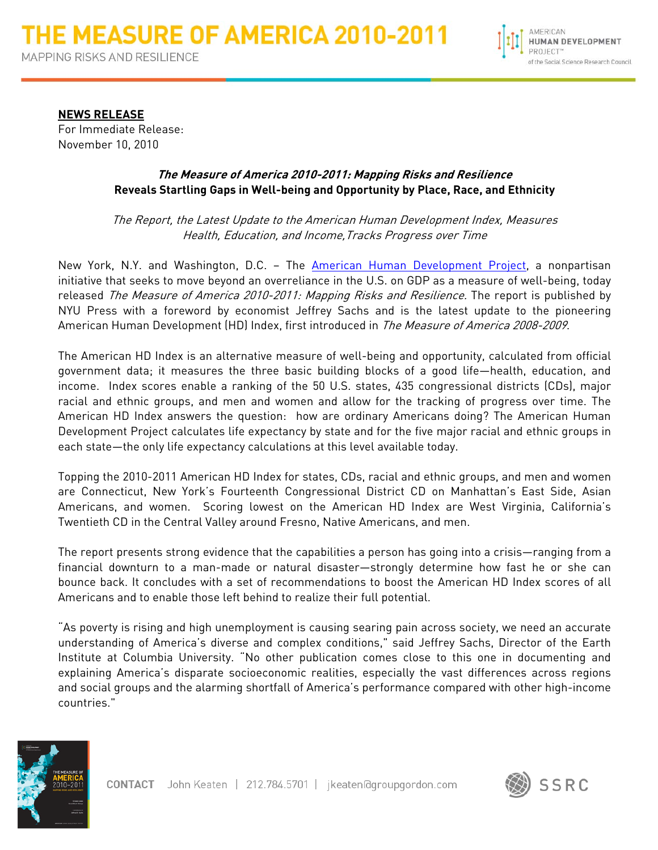

**NEWS RELEASE** For Immediate Release: November 10, 2010

# **The Measure of America 2010-2011: Mapping Risks and Resilience Reveals Startling Gaps in Well-being and Opportunity by Place, Race, and Ethnicity**

The Report, the Latest Update to the American Human Development Index, Measures Health, Education, and Income,Tracks Progress over Time

New York, N.Y. and Washington, D.C. - The **American Human Development Project**, a nonpartisan initiative that seeks to move beyond an overreliance in the U.S. on GDP as a measure of well-being, today released The Measure of America 2010-2011: Mapping Risks and Resilience. The report is published by NYU Press with a foreword by economist Jeffrey Sachs and is the latest update to the pioneering American Human Development (HD) Index, first introduced in *The Measure of America 2008-2009*.

The American HD Index is an alternative measure of well-being and opportunity, calculated from official government data; it measures the three basic building blocks of a good life—health, education, and income. Index scores enable a ranking of the 50 U.S. states, 435 congressional districts (CDs), major racial and ethnic groups, and men and women and allow for the tracking of progress over time. The American HD Index answers the question: how are ordinary Americans doing? The American Human Development Project calculates life expectancy by state and for the five major racial and ethnic groups in each state—the only life expectancy calculations at this level available today.

Topping the 2010-2011 American HD Index for states, CDs, racial and ethnic groups, and men and women are Connecticut, New York's Fourteenth Congressional District CD on Manhattan's East Side, Asian Americans, and women. Scoring lowest on the American HD Index are West Virginia, California's Twentieth CD in the Central Valley around Fresno, Native Americans, and men.

The report presents strong evidence that the capabilities a person has going into a crisis—ranging from a financial downturn to a man-made or natural disaster—strongly determine how fast he or she can bounce back. It concludes with a set of recommendations to boost the American HD Index scores of all Americans and to enable those left behind to realize their full potential.

"As poverty is rising and high unemployment is causing searing pain across society, we need an accurate understanding of America's diverse and complex conditions," said Jeffrey Sachs, Director of the Earth Institute at Columbia University. "No other publication comes close to this one in documenting and explaining America's disparate socioeconomic realities, especially the vast differences across regions and social groups and the alarming shortfall of America's performance compared with other high-income countries."



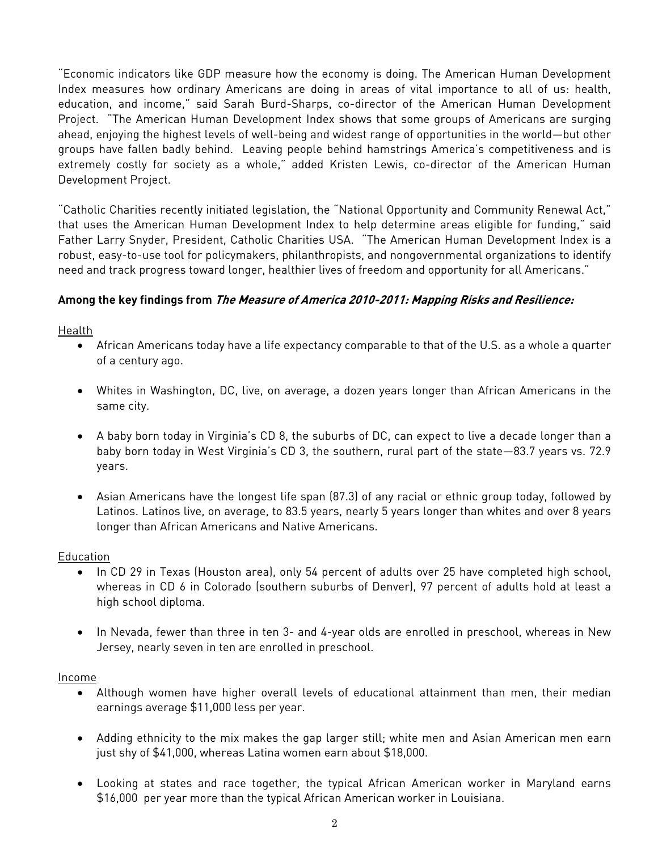"Economic indicators like GDP measure how the economy is doing. The American Human Development Index measures how ordinary Americans are doing in areas of vital importance to all of us: health, education, and income," said Sarah Burd-Sharps, co-director of the American Human Development Project. "The American Human Development Index shows that some groups of Americans are surging ahead, enjoying the highest levels of well-being and widest range of opportunities in the world—but other groups have fallen badly behind. Leaving people behind hamstrings America's competitiveness and is extremely costly for society as a whole," added Kristen Lewis, co-director of the American Human Development Project.

"Catholic Charities recently initiated legislation, the "National Opportunity and Community Renewal Act," that uses the American Human Development Index to help determine areas eligible for funding," said Father Larry Snyder, President, Catholic Charities USA. "The American Human Development Index is a robust, easy-to-use tool for policymakers, philanthropists, and nongovernmental organizations to identify need and track progress toward longer, healthier lives of freedom and opportunity for all Americans."

# **Among the key findings from The Measure of America 2010-2011: Mapping Risks and Resilience:**

Health

- African Americans today have a life expectancy comparable to that of the U.S. as a whole a quarter of a century ago.
- Whites in Washington, DC, live, on average, a dozen years longer than African Americans in the same city.
- A baby born today in Virginia's CD 8, the suburbs of DC, can expect to live a decade longer than a baby born today in West Virginia's CD 3, the southern, rural part of the state—83.7 years vs. 72.9 years.
- Asian Americans have the longest life span (87.3) of any racial or ethnic group today, followed by Latinos. Latinos live, on average, to 83.5 years, nearly 5 years longer than whites and over 8 years longer than African Americans and Native Americans.

## Education

- In CD 29 in Texas (Houston area), only 54 percent of adults over 25 have completed high school, whereas in CD 6 in Colorado (southern suburbs of Denver), 97 percent of adults hold at least a high school diploma.
- In Nevada, fewer than three in ten 3- and 4-year olds are enrolled in preschool, whereas in New Jersey, nearly seven in ten are enrolled in preschool.

## Income

- Although women have higher overall levels of educational attainment than men, their median earnings average \$11,000 less per year.
- Adding ethnicity to the mix makes the gap larger still; white men and Asian American men earn just shy of \$41,000, whereas Latina women earn about \$18,000.
- Looking at states and race together, the typical African American worker in Maryland earns \$16,000 per year more than the typical African American worker in Louisiana.